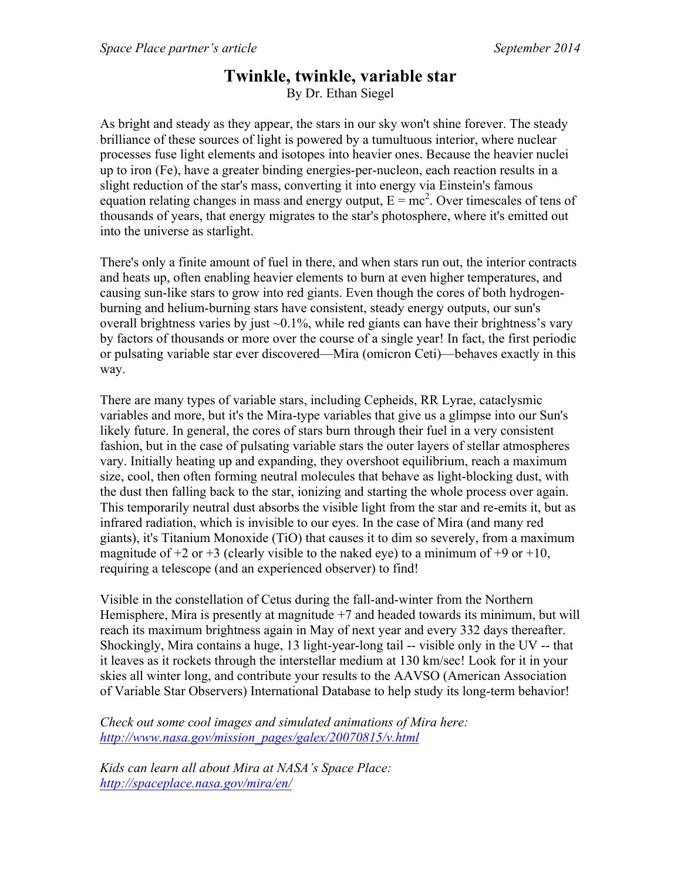## **Twinkle, twinkle, variable star**

By Dr. Ethan Siegel

As bright and steady as they appear, the stars in our sky won't shine forever. The steady brilliance of these sources of light is powered by a tumultuous interior, where nuclear processes fuse light elements and isotopes into heavier ones. Because the heavier nuclei up to iron (Fe), have a greater binding energies-per-nucleon, each reaction results in a slight reduction of the star's mass, converting it into energy via Einstein's famous equation relating changes in mass and energy output,  $E = mc^2$ . Over timescales of tens of thousands of years, that energy migrates to the star's photosphere, where it's emitted out into the universe as starlight.

There's only a finite amount of fuel in there, and when stars run out, the interior contracts and heats up, often enabling heavier elements to burn at even higher temperatures, and causing sun-like stars to grow into red giants. Even though the cores of both hydrogenburning and helium-burning stars have consistent, steady energy outputs, our sun's overall brightness varies by just  $\sim 0.1\%$ , while red giants can have their brightness's vary by factors of thousands or more over the course of a single year! In fact, the first periodic or pulsating variable star ever discovered—Mira (omicron Ceti)—behaves exactly in this way.

There are many types of variable stars, including Cepheids, RR Lyrae, cataclysmic variables and more, but it's the Mira-type variables that give us a glimpse into our Sun's likely future. In general, the cores of stars burn through their fuel in a very consistent fashion, but in the case of pulsating variable stars the outer layers of stellar atmospheres vary. Initially heating up and expanding, they overshoot equilibrium, reach a maximum size, cool, then often forming neutral molecules that behave as light-blocking dust, with the dust then falling back to the star, ionizing and starting the whole process over again. This temporarily neutral dust absorbs the visible light from the star and re-emits it, but as infrared radiation, which is invisible to our eyes. In the case of Mira (and many red giants), it's Titanium Monoxide (TiO) that causes it to dim so severely, from a maximum magnitude of  $+2$  or  $+3$  (clearly visible to the naked eye) to a minimum of  $+9$  or  $+10$ , requiring a telescope (and an experienced observer) to find!

Visible in the constellation of Cetus during the fall-and-winter from the Northern Hemisphere, Mira is presently at magnitude  $+7$  and headed towards its minimum, but will reach its maximum brightness again in May of next year and every 332 days thereafter. Shockingly, Mira contains a huge, 13 light-year-long tail -- visible only in the UV -- that it leaves as it rockets through the interstellar medium at 130 km/sec! Look for it in your skies all winter long, and contribute your results to the AAVSO (American Association of Variable Star Observers) International Database to help study its long-term behavior!

*Check out some cool images and simulated animations of Mira here: http://www.nasa.gov/mission\_pages/galex/20070815/v.html*

*Kids can learn all about Mira at NASA's Space Place: http://spaceplace.nasa.gov/mira/en/*